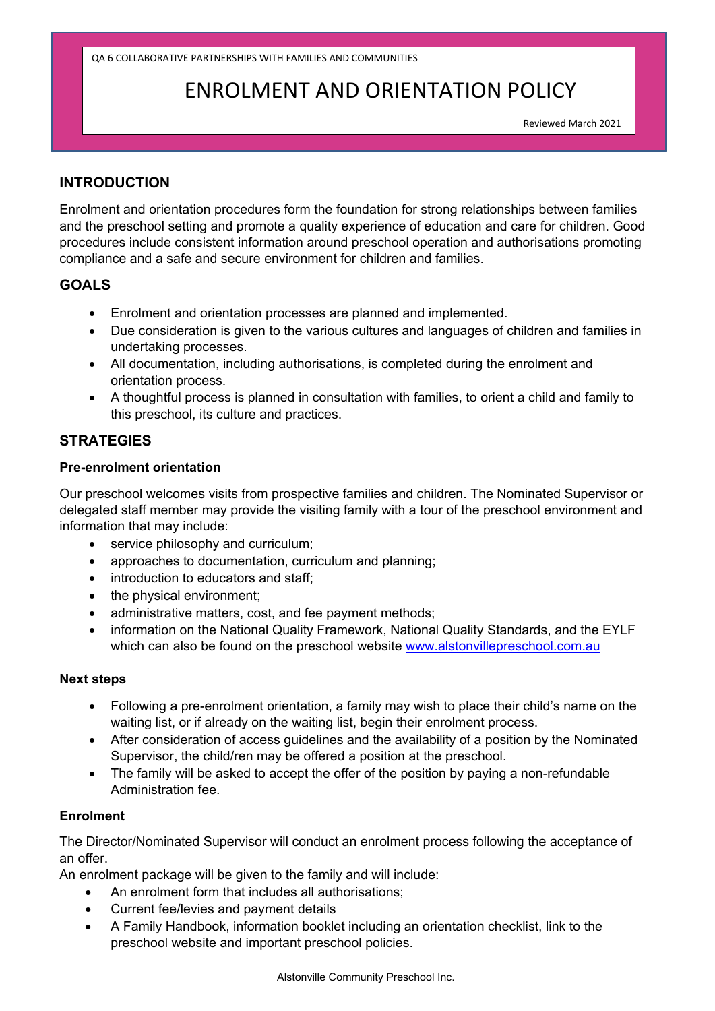QA 6 COLLABORATIVE PARTNERSHIPS WITH FAMILIES AND COMMUNITIES

# ENROLMENT AND ORIENTATION POLICY

Reviewed March 2021

#### **INTRODUCTION**

Enrolment and orientation procedures form the foundation for strong relationships between families and the preschool setting and promote a quality experience of education and care for children. Good procedures include consistent information around preschool operation and authorisations promoting compliance and a safe and secure environment for children and families.

## **GOALS**

- Enrolment and orientation processes are planned and implemented.
- Due consideration is given to the various cultures and languages of children and families in undertaking processes.
- All documentation, including authorisations, is completed during the enrolment and orientation process.
- A thoughtful process is planned in consultation with families, to orient a child and family to this preschool, its culture and practices.

## **STRATEGIES**

#### **Pre-enrolment orientation**

Our preschool welcomes visits from prospective families and children. The Nominated Supervisor or delegated staff member may provide the visiting family with a tour of the preschool environment and information that may include:

- service philosophy and curriculum;
- approaches to documentation, curriculum and planning;
- introduction to educators and staff:
- the physical environment;
- administrative matters, cost, and fee payment methods;
- information on the National Quality Framework, National Quality Standards, and the EYLF which can also be found on the preschool website www.alstonvillepreschool.com.au

#### **Next steps**

- Following a pre-enrolment orientation, a family may wish to place their child's name on the waiting list, or if already on the waiting list, begin their enrolment process.
- After consideration of access guidelines and the availability of a position by the Nominated Supervisor, the child/ren may be offered a position at the preschool.
- The family will be asked to accept the offer of the position by paying a non-refundable Administration fee.

#### **Enrolment**

The Director/Nominated Supervisor will conduct an enrolment process following the acceptance of an offer.

An enrolment package will be given to the family and will include:

- An enrolment form that includes all authorisations;
- Current fee/levies and payment details
- A Family Handbook, information booklet including an orientation checklist, link to the preschool website and important preschool policies.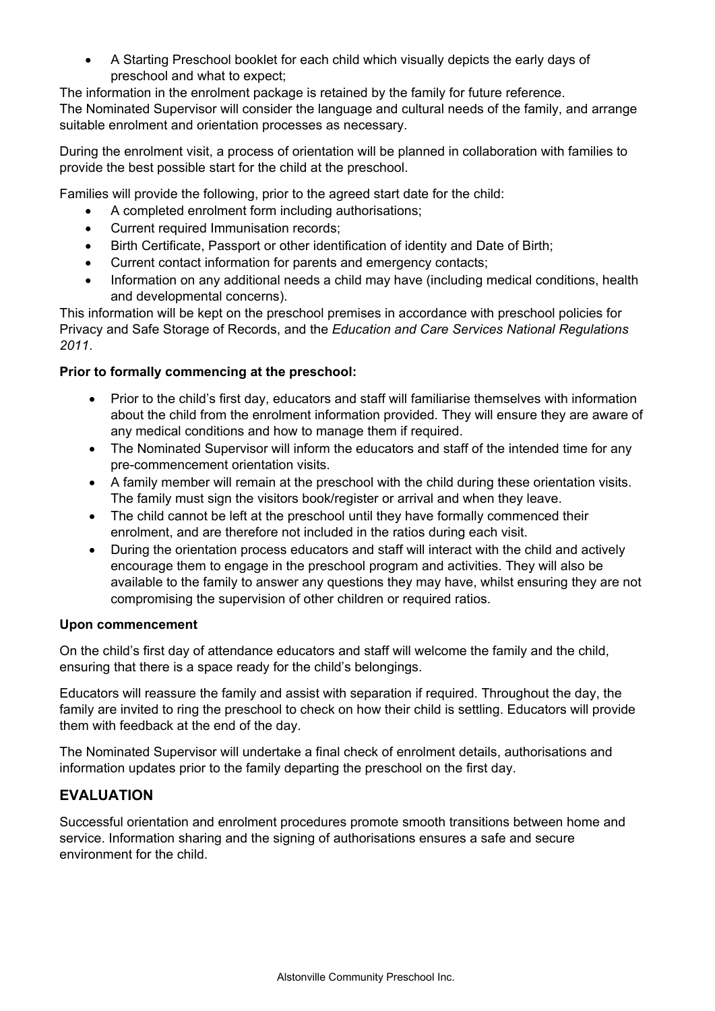A Starting Preschool booklet for each child which visually depicts the early days of preschool and what to expect;

The information in the enrolment package is retained by the family for future reference. The Nominated Supervisor will consider the language and cultural needs of the family, and arrange suitable enrolment and orientation processes as necessary.

During the enrolment visit, a process of orientation will be planned in collaboration with families to provide the best possible start for the child at the preschool.

Families will provide the following, prior to the agreed start date for the child:

- A completed enrolment form including authorisations;
- Current required Immunisation records;
- Birth Certificate, Passport or other identification of identity and Date of Birth;
- Current contact information for parents and emergency contacts;
- Information on any additional needs a child may have (including medical conditions, health and developmental concerns).

This information will be kept on the preschool premises in accordance with preschool policies for Privacy and Safe Storage of Records, and the *Education and Care Services National Regulations 2011*.

#### **Prior to formally commencing at the preschool:**

- Prior to the child's first day, educators and staff will familiarise themselves with information about the child from the enrolment information provided. They will ensure they are aware of any medical conditions and how to manage them if required.
- The Nominated Supervisor will inform the educators and staff of the intended time for any pre-commencement orientation visits.
- A family member will remain at the preschool with the child during these orientation visits. The family must sign the visitors book/register or arrival and when they leave.
- The child cannot be left at the preschool until they have formally commenced their enrolment, and are therefore not included in the ratios during each visit.
- During the orientation process educators and staff will interact with the child and actively encourage them to engage in the preschool program and activities. They will also be available to the family to answer any questions they may have, whilst ensuring they are not compromising the supervision of other children or required ratios.

#### **Upon commencement**

On the child's first day of attendance educators and staff will welcome the family and the child, ensuring that there is a space ready for the child's belongings.

Educators will reassure the family and assist with separation if required. Throughout the day, the family are invited to ring the preschool to check on how their child is settling. Educators will provide them with feedback at the end of the day.

The Nominated Supervisor will undertake a final check of enrolment details, authorisations and information updates prior to the family departing the preschool on the first day.

## **EVALUATION**

Successful orientation and enrolment procedures promote smooth transitions between home and service. Information sharing and the signing of authorisations ensures a safe and secure environment for the child.